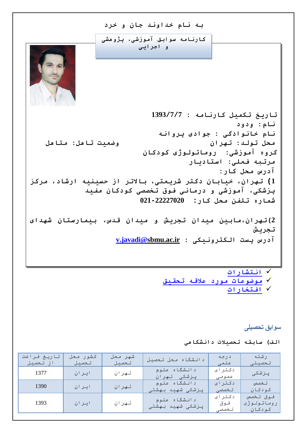

 **[انتشارات](#page-2-1) [موضوعات مورد علاقھ تحقیق](#page-6-0) [افتخارات](#page-6-1)**

**سوابق تحصیلی**

**الف) سابقھ تحصیلات دانشگاھی**

<span id="page-0-0"></span>

| تاريخ فراغت<br>از تحصیل | كشور محل<br>تحصيل | شهر محل<br>تحصىل | دانشگاه محل تحصیل                  | د رجه<br>علمی           | رشته<br>تحصيلى                   |
|-------------------------|-------------------|------------------|------------------------------------|-------------------------|----------------------------------|
| 1377                    | ايران             | تهران            | دانشگاه علوم<br>پزشکی تهران        | دکتر ای<br>عمومى        | پزشکی                            |
| 1390                    | ايران             | تهران            | دانشگاه علوم<br>پـزشکی شهید بـهشتی | دکتر ای<br>تخصصی        | تخصص<br>كودكان                   |
| 1393                    | ايران             | تهران            | دانشگاه علوم<br>پزشکی شهید بهشتی   | دکتر ای<br>فوق<br>تخصصی | فوق تخصص<br>روماتولوژی<br>كودكان |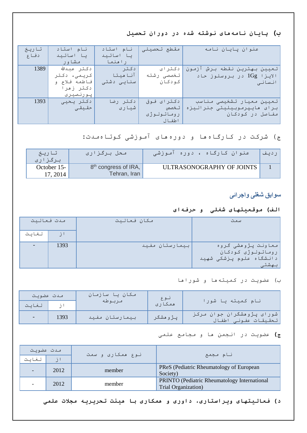### **ب) پایان نامھھای نوشتھ شده در دوران تحصیل**

| تاريخ | نام استاد    | نام استاد  | مقطع تحصيلى | عنوان پايان نامه              |
|-------|--------------|------------|-------------|-------------------------------|
| دفاع  | یا اساتید    | یا اساتید  |             |                               |
|       | مشاور        | رامنما     |             |                               |
| 1389  | دكتر عبدالله | د کـتر     | دکترای      | تعيين بهترين نقطه برش آزمون   |
|       | كريمى، دكتر  | آناهيتا    | تخصصی رشته  | الايـزا $\lg$ در بـروسلوز حاد |
|       | فاطمه فلاح و | سنایے دشتی | کـودکـان    | انسانی                        |
|       | دکتر زمرا    |            |             |                               |
|       | پورنصيرى     |            |             |                               |
| 1393  | دكتر يحيى    | دكتر رضا   | دکترای فوق  | تعيين معيار تشخيصى مناسب      |
|       | حقيقى        | شيارى      | تخصص        | برای مایپرموبیلیتی جنرالیزه   |
|       |              |            | روماتولوژی  | مفاصل در کودکان               |
|       |              |            | اطفال       |                               |

#### ج) شرکت در کارگاهھا و دورهھای آموزشی کوتاهمدت:

<span id="page-1-0"></span>

| تاريخ       | محل برگزاری                      | عنوان کارگاه ، دوره آموزشی |  |
|-------------|----------------------------------|----------------------------|--|
| برگزاری     |                                  |                            |  |
| October 15- | 8 <sup>th</sup> congress of IRA, | ULTRASONOGRAPHY OF JOINTS  |  |
| 17, 2014    | Tehran, Iran                     |                            |  |

# **سوابق شغلی واجرائی**

#### **الف) موقعیتھای شغلی و حرفھای**

| مدت فعاليت |                 | مكان فعاليت    | سمت                                                                  |
|------------|-----------------|----------------|----------------------------------------------------------------------|
| لغايت      | $\rightarrow$ 1 |                |                                                                      |
|            | 1393            | بيمارستان مفيد | معاونت پژوهشی گروه<br>  روماتولوژی کودکان<br>دانشگاه علوم پزشکی شهید |

#### ب) عضویت در کمیتھھا و شوراھا

| مدت عضويت |      | مکان یا سازمان | نوع      |                                                  |  |
|-----------|------|----------------|----------|--------------------------------------------------|--|
| لغايت     |      | مربوطه         | ممكاري   | انام کمیته یا شورا                               |  |
|           | 1393 | بيمارستان مفيد | پژو هشگر | شورای پژوهشگران جوان مرکز<br>تحقیقات عفونی اطفال |  |

#### **ج)** عضویت در انجمن ھا و مجامع علمی

| املات عضويت |               | نوع همکاری و سمت |                                                                     |  |
|-------------|---------------|------------------|---------------------------------------------------------------------|--|
| لغاىت       | $\frac{1}{2}$ |                  | أنام مجمع                                                           |  |
|             | 2012          | member           | PReS (Pediatric Rheumatology of European<br>Society)                |  |
|             | 2012          | member           | PRINTO (Pediatric Rheumatology International<br>Trial Organization) |  |

**د) فعالیتھای ویراستاری، داوری و ھمکاری با ھیئت تحریریھ مجلات علمی**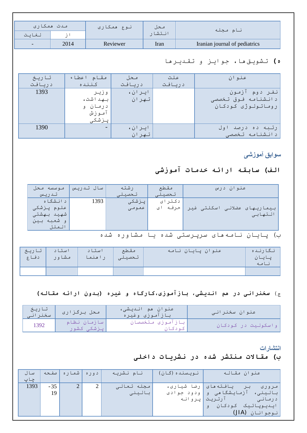| مدت ممکاری               |      | انوع همکاری | محل    | نام مجله                               |
|--------------------------|------|-------------|--------|----------------------------------------|
| لغايت                    |      |             | انتشار |                                        |
| $\overline{\phantom{0}}$ | 2014 | Reviewer    | Iran   | Iranian journal of pediatrics          |
|                          |      |             |        |                                        |
|                          |      |             |        | ه) تـشويـق هـا، جـوايـز و تـقـديـر هـا |

| تاريخ  | مقام اعطاء               | محل    | علت    | عنوان                |
|--------|--------------------------|--------|--------|----------------------|
| دريافت | كننده                    | دريافت | دريافت |                      |
| 1393   | و زیـر                   | ايران، |        | نفـر دوم آزمـون      |
|        | بهداشت،                  | تهران  |        | د انشنامه فوق تخصصی  |
|        | درمان و                  |        |        | روماتولوژی کودکان    |
|        | آموزش                    |        |        |                      |
|        | يزشكى                    |        |        |                      |
| 1390   | $\overline{\phantom{a}}$ | ايران، |        | ٔ رتـبـه ده درصد اول |
|        |                          | تهران  |        | د انشنامه تخصصی      |

<span id="page-2-0"></span>**سوابق آموزشی**

# **الف) سابقھ ارائھ خدمات آموزشی**

| موسسه محل   | سال تىدريس | رشته   | مقطع    | عنوان درس                   |
|-------------|------------|--------|---------|-----------------------------|
| تدريس       |            | تحصيلي | تحصيلى  |                             |
| د انـشگاه   | 1393       | پزشکی  | دکترای  |                             |
| اعلوم پزشکی |            | عمومى  | حرفه ای | بیماریهای عضلانی اسکلتی غیر |
| شهيد بهشتى  |            |        |         | التهابى                     |
| او شعبه بين |            |        |         |                             |
| الملل       |            |        |         |                             |

## ب) پایان نامھھای سرپرستی شده یا مشاوره شده

| تا ريخ<br>دفاع | استاد<br>مشاور | استاد<br>رامنما | مقطع<br>رتحصيلى | عنوان پايان نامه | نگارنده<br>ر يــــا ر<br>$\cup$ |
|----------------|----------------|-----------------|-----------------|------------------|---------------------------------|
|                |                |                 |                 |                  |                                 |

## ج) **سخنرانی در ھم اندیشی، بازآموزی،کارگاه و غیره (بدون ارائھ مقالھ)**

| / تاریخ<br>/سخنرانی | محل برگزاری               | عنوان هم انـديـشى،<br>بازآموزى وغيره | إعنوان سخنراني     |
|---------------------|---------------------------|--------------------------------------|--------------------|
| 1392                | سازمان نظام<br>یزشکی کشور | ، بازآموزی متخصصان<br>نه د نار       | واسکولیت در کودکان |

<span id="page-2-1"></span>**انتشارات**

# **ب) مقالات منتشر شده در نشریات داخلی**

| سال  | صفحه        | ادوره  شماره ا | نام نشریه            | انویسنده (گان)                       | عنوان مقاله                                                                          |
|------|-------------|----------------|----------------------|--------------------------------------|--------------------------------------------------------------------------------------|
| 1393 | $-35$<br>19 |                | مجله تعالى<br>بالينى | یافته های   رضا شیاری،<br>ودود جوادى | مرورى<br>بالينى، آزمايشگاھى<br>_ و_<br>آرتريت پروانه<br>د رمانـی<br>ایىدىوپاتىك كودك |
|      |             |                |                      |                                      | لنوجوانان (JIA)                                                                      |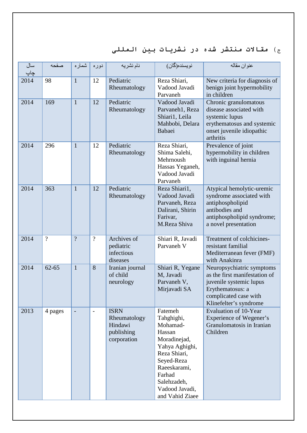# ج) **مقالات منتشر شده در نشریات بین المللی**

| سال<br>چاپ | صفحه           | شماره          | دوره                     | نام نشريه                                                           | نويسنده(گان)                                                                                                                                                                              | عنو ان مقاله                                                                                                                                                 |
|------------|----------------|----------------|--------------------------|---------------------------------------------------------------------|-------------------------------------------------------------------------------------------------------------------------------------------------------------------------------------------|--------------------------------------------------------------------------------------------------------------------------------------------------------------|
| 2014       | 98             | $\mathbf{1}$   | 12                       | Pediatric<br>Rheumatology                                           | Reza Shiari,<br>Vadood Javadi<br>Parvaneh                                                                                                                                                 | New criteria for diagnosis of<br>benign joint hypermobility<br>in children                                                                                   |
| 2014       | 169            | $\mathbf{1}$   | 12                       | Pediatric<br>Rheumatology                                           | Vadood Javadi<br>Parvaneh1, Reza<br>Shiari1, Leila<br>Mahbobi, Delara<br>Babaei                                                                                                           | Chronic granulomatous<br>disease associated with<br>systemic lupus<br>erythematosus and systemic<br>onset juvenile idiopathic<br>arthritis                   |
| 2014       | 296            | $\mathbf{1}$   | 12                       | Pediatric<br>Rheumatology                                           | Reza Shiari,<br>Shima Salehi,<br>Mehrnoush<br>Hassas Yeganeh,<br>Vadood Javadi<br>Parvaneh                                                                                                | Prevalence of joint<br>hypermobility in children<br>with inguinal hernia                                                                                     |
| 2014       | 363            | $\mathbf{1}$   | 12                       | Pediatric<br>Rheumatology                                           | Reza Shiari1,<br>Vadood Javadi<br>Parvaneh, Reza<br>Dalirani, Shirin<br>Farivar,<br>M.Reza Shiva                                                                                          | Atypical hemolytic-uremic<br>syndrome associated with<br>antiphospholipid<br>antibodies and<br>antiphospholipid syndrome;<br>a novel presentation            |
| 2014       | $\overline{?}$ | $\overline{?}$ | $\overline{?}$           | Archives of<br>pediatric<br>infectious<br>diseases                  | Shiari R, Javadi<br>Parvaneh V                                                                                                                                                            | Treatment of colchicines-<br>resistant familial<br>Mediterranean fever (FMF)<br>with Anakinra                                                                |
| 2014       | $62 - 65$      | $\mathbf{1}$   | 8                        | Iranian journal<br>of child<br>neurology                            | Shiari R, Yegane<br>M, Javadi<br>Parvaneh V,<br>Mirjavadi SA                                                                                                                              | Neuropsychiatric symptoms<br>as the first manifestation of<br>juvenile systemic lupus<br>Erythematosus: a<br>complicated case with<br>Klinefelter's syndrome |
| 2013       | 4 pages        | $\blacksquare$ | $\overline{\phantom{0}}$ | <b>ISRN</b><br>Rheumatology<br>Hindawi<br>publishing<br>corporation | Fatemeh<br>Tahghighi,<br>Mohamad-<br>Hassan<br>Moradinejad,<br>Yahya Aghighi,<br>Reza Shiari,<br>Seyed-Reza<br>Raeeskarami,<br>Farhad<br>Salehzadeh,<br>Vadood Javadi,<br>and Vahid Ziaee | <b>Evaluation of 10-Year</b><br><b>Experience of Wegener's</b><br>Granulomatosis in Iranian<br>Children                                                      |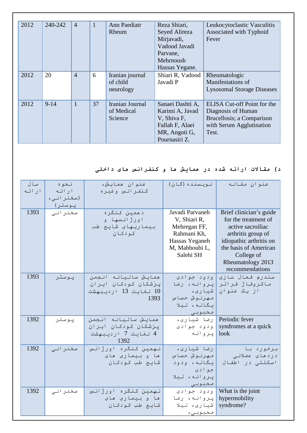| 2012 | 240-242  | $\overline{4}$ |    | <b>Ann Paediatr</b><br>Rheum             | Reza Shiari,<br>Seyed Alireza<br>Mirjavadi,<br>Vadood Javadi<br>Parvane,<br>Mehrnoush<br>Hassas Yegane. | Leukocytoclastic Vasculitis<br>Associated with Typhoid<br>Fever                                                     |
|------|----------|----------------|----|------------------------------------------|---------------------------------------------------------------------------------------------------------|---------------------------------------------------------------------------------------------------------------------|
| 2012 | 20       | $\overline{4}$ | 6  | Iranian journal<br>of child<br>neurology | Shiari R, Vadood<br>Javadi P                                                                            | Rheumatologic<br>Manifestations of<br><b>Lysosomal Storage Diseases</b>                                             |
| 2012 | $9 - 14$ | $\mathbf{1}$   | 37 | Iranian Journal<br>of Medical<br>Science | Sanaei Dashti A,<br>Karimi A, Javad<br>V, Shiva F,<br>Fallah F, Alaei<br>MR, Angoti G,<br>Pournasiri Z. | ELISA Cut-off Point for the<br>Diagnosis of Human<br>Brucellosis; a Comparison<br>with Serum Agglutination<br>Test. |

# **د) مقالات ارائھ شده در ھمایش ھا و کنفرانس ھای داخلی**

| سال<br>ار ائه | نحوه<br>ار ائه<br>(سخنرانی،<br>پوستر) | عنوان همايش،<br>كنفرانس وغيره                                                | نويسنده (گان)                                                                                                   | عنوان مقاله                                                                                                                                                                                          |
|---------------|---------------------------------------|------------------------------------------------------------------------------|-----------------------------------------------------------------------------------------------------------------|------------------------------------------------------------------------------------------------------------------------------------------------------------------------------------------------------|
| 1393          | سخنرانی                               | د ممين کنگره<br>اورژانسها و<br>بيماريهاى شايع طب<br>کودکان                   | Javadi Parvaneh<br>V, Shiari R,<br>Mehregan FF,<br>Rahmani Kh,<br>Hassas Yeganeh<br>M, Mahboubi L,<br>Salehi SH | Brief clinician's guide<br>for the treatment of<br>active sacroiliac<br>arthritis group of<br>idiopathic arthritis on<br>the basis of American<br>College of<br>Rheumatology 2013<br>recommendations |
| 1393          | پوستر                                 | همايش ساليانه انجمن<br>پزشکان کودکان ایران<br>10 لغايت 13 ارديبهشت<br>1393   | ودود جوادى<br>يروانه، رضا<br>شيارى،<br>مهرنوش حساس<br>يگانه، ليلا<br>محبوبى                                     | سندرم فعال سازى<br>ماكروفاژ فراتر<br>از یک عنوان                                                                                                                                                     |
| 1392          | پوستر                                 | همايش ساليانه انجمن<br>یـزشکان کـودکـان ایـران<br>4 لغايت 7 ارديبهشت<br>1392 | رضا شيارى،<br>ودود جوادى<br>پروانه                                                                              | Periodic fever<br>syndromes at a quick<br>look                                                                                                                                                       |
| 1392          | سخنرانی                               | نهمین کنگره اورژانس<br>ها وییماری های<br>شايع طب كودكان                      | رضا شيارى،<br>مهرنوش حساس<br>یگانه، ودود<br>جوادي<br>پروانه، ليلا<br>محبوبى                                     | برخورد با<br>دردهای عضلانی<br>اسكلتى در اطفال                                                                                                                                                        |
| 1392          | سخنرانی                               | نهمین کنگره اورژانس<br>ها و بیماری های<br>شايع طب كودكان                     | ودود جوادى<br>پروانه، رضا<br>شيارى، ليلا<br>محبوبی،                                                             | What is the joint<br>hypermobility<br>syndrome?                                                                                                                                                      |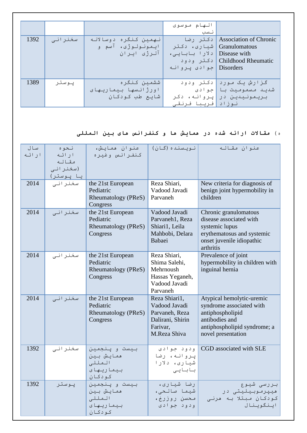|      |         |                      | الهام موسوى                  |                                 |
|------|---------|----------------------|------------------------------|---------------------------------|
|      |         |                      | نسب                          |                                 |
| 1392 | سخنرانی | نهمين كنگره دوسالانه |                              | Association of Chronic دکتر رضا |
|      |         | ايـمونـولـوژي، آسم و | Granulomatous   شیا ری، دکتر |                                 |
|      |         | آلرژی ایران          | Disease with   دلارا بابايي، |                                 |
|      |         |                      |                              | Childhood Rheumatic دکتر ودود   |
|      |         |                      | Disorders   جوادی پروانـه    |                                 |
|      |         |                      |                              |                                 |
| 1389 | يوستر   | ششمين كنگره          |                              | گزارش یک مورد  دکتر ودود        |
|      |         | اورژانسها بیماریهای  |                              | شديـد مـسمومـيت بـا  جوادي      |
|      |         | شايع طب کودکان       |                              | بريمونيدين در پروانه، دکر       |
|      |         |                      | نوزاد  فريبا فرنقى           |                                 |

# ه) **مقالات ارائھ شده در ھمایش ھا و کنفرانس ھای بین المللی**

| سال<br>ارائه | نحوه<br>ار ائه<br>مقاله<br>(سخنرانی<br>يا پوستر) | عنوان همايش،<br>كنفرانس وغيره                                            | نويسنده (گان)                                                                                    | عنوان مقاله                                                                                                                                       |
|--------------|--------------------------------------------------|--------------------------------------------------------------------------|--------------------------------------------------------------------------------------------------|---------------------------------------------------------------------------------------------------------------------------------------------------|
| 2014         | سخنرانى                                          | the 21st European<br>Pediatric<br><b>Rheumatology (PReS)</b><br>Congress | Reza Shiari,<br>Vadood Javadi<br>Parvaneh                                                        | New criteria for diagnosis of<br>benign joint hypermobility in<br>children                                                                        |
| 2014         | سخنرانی                                          | the 21st European<br>Pediatric<br>Rheumatology (PReS)<br>Congress        | Vadood Javadi<br>Parvaneh1, Reza<br>Shiari1, Leila<br>Mahbobi, Delara<br>Babaei                  | Chronic granulomatous<br>disease associated with<br>systemic lupus<br>erythematosus and systemic<br>onset juvenile idiopathic<br>arthritis        |
| 2014         | سخنرانی                                          | the 21st European<br>Pediatric<br>Rheumatology (PReS)<br>Congress        | Reza Shiari,<br>Shima Salehi,<br>Mehrnoush<br>Hassas Yeganeh,<br>Vadood Javadi<br>Parvaneh       | Prevalence of joint<br>hypermobility in children with<br>inguinal hernia                                                                          |
| 2014         | سخنرانی                                          | the 21st European<br>Pediatric<br><b>Rheumatology (PReS)</b><br>Congress | Reza Shiari1,<br>Vadood Javadi<br>Parvaneh, Reza<br>Dalirani, Shirin<br>Farivar,<br>M.Reza Shiva | Atypical hemolytic-uremic<br>syndrome associated with<br>antiphospholipid<br>antibodies and<br>antiphospholipid syndrome; a<br>novel presentation |
| 1392         | سخنرانی                                          | بيست و پنجمين<br>همايش بين<br>المللي<br>بيما ريها ي<br>كودكان            | ودود جوادى<br>پروانه، رضا<br>شیاری، دلارا<br>بابايى                                              | CGD associated with SLE                                                                                                                           |
| 1392         | پوستر                                            | بيست و پنجمين<br>همايش بين<br>المللى<br>بيما ريها ي<br>كودكان            | رضا شیاری،<br>شيما صالحى،<br>محسن روزرخ،<br>ودود جوادى                                           | بررسی شیوع<br>هيپرموبيليتي در<br>کودکان مبتلا به هرنی<br>اينگوينال                                                                                |